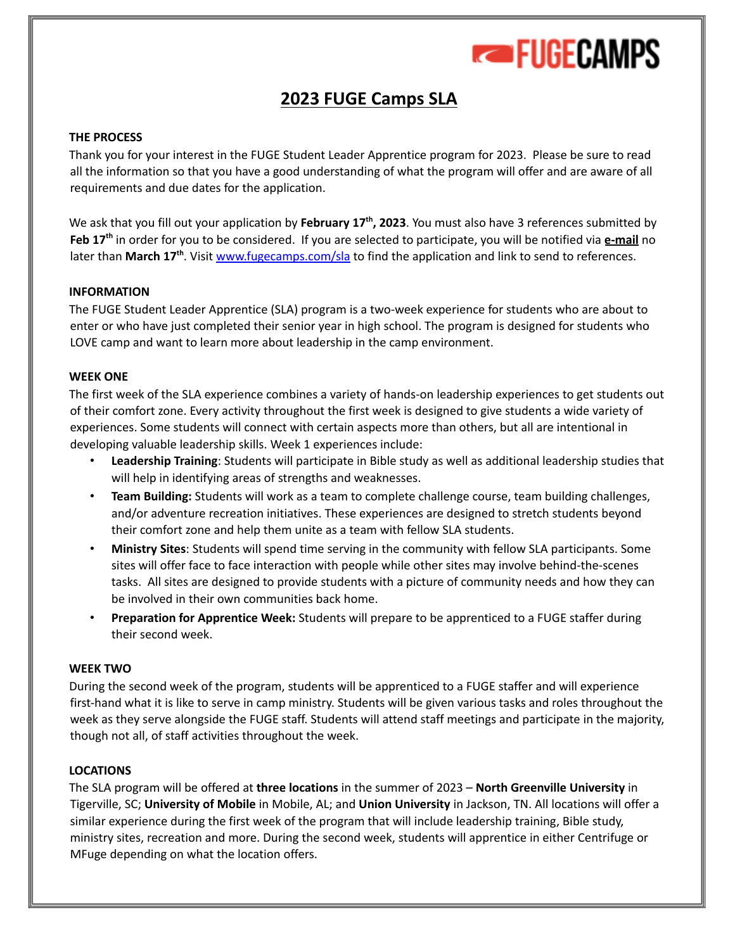

# **2023 FUGE Camps SLA**

### **THE PROCESS**

Thank you for your interest in the FUGE Student Leader Apprentice program for 2023. Please be sure to read all the information so that you have a good understanding of what the program will offer and are aware of all requirements and due dates for the application.

We ask that you fill out your application by February 17<sup>th</sup>, 2023. You must also have 3 references submitted by Feb 17<sup>th</sup> in order for you to be considered. If you are selected to participate, you will be notified via e-mail no later than March 17<sup>th</sup>. Visit www.fugecamps.com/sla to find the application and link to send to references.

### **INFORMATION**

The FUGE Student Leader Apprentice (SLA) program is a two-week experience for students who are about to enter or who have just completed their senior year in high school. The program is designed for students who LOVE camp and want to learn more about leadership in the camp environment.

### **WEEK ONE**

The first week of the SLA experience combines a variety of hands-on leadership experiences to get students out of their comfort zone. Every activity throughout the first week is designed to give students a wide variety of experiences. Some students will connect with certain aspects more than others, but all are intentional in developing valuable leadership skills. Week 1 experiences include:

- **Leadership Training**: Students will participate in Bible study as well as additional leadership studies that will help in identifying areas of strengths and weaknesses.
- **Team Building:** Students will work as a team to complete challenge course, team building challenges, and/or adventure recreation initiatives. These experiences are designed to stretch students beyond their comfort zone and help them unite as a team with fellow SLA students.
- **Ministry Sites**: Students will spend time serving in the community with fellow SLA participants. Some sites will offer face to face interaction with people while other sites may involve behind-the-scenes tasks. All sites are designed to provide students with a picture of community needs and how they can be involved in their own communities back home.
- **Preparation for Apprentice Week:** Students will prepare to be apprenticed to a FUGE staffer during their second week.

### **WEEK TWO**

During the second week of the program, students will be apprenticed to a FUGE staffer and will experience first-hand what it is like to serve in camp ministry. Students will be given various tasks and roles throughout the week as they serve alongside the FUGE staff. Students will attend staff meetings and participate in the majority, though not all, of staff activities throughout the week.

### **LOCATIONS**

The SLA program will be offered at **three locations** in the summer of 2023 – **North Greenville University** in Tigerville, SC; **University of Mobile** in Mobile, AL; and **Union University** in Jackson, TN. All locations will offer a similar experience during the first week of the program that will include leadership training, Bible study, ministry sites, recreation and more. During the second week, students will apprentice in either Centrifuge or MFuge depending on what the location offers.